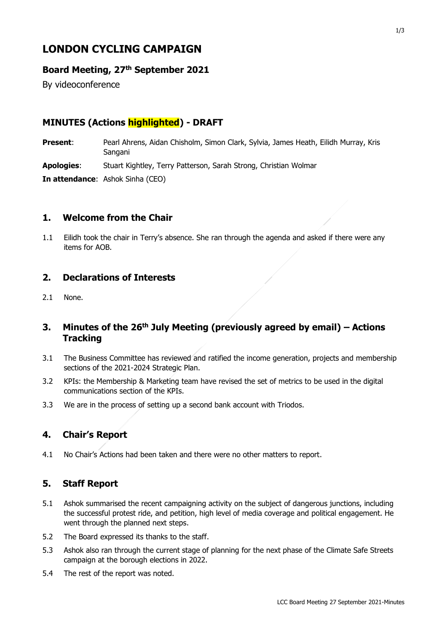# **LONDON CYCLING CAMPAIGN**

### **Board Meeting, 27th September 2021**

By videoconference

# **MINUTES (Actions highlighted) - DRAFT**

**Present**: Pearl Ahrens, Aidan Chisholm, Simon Clark, Sylvia, James Heath, Eilidh Murray, Kris Sangani **Apologies**: Stuart Kightley, Terry Patterson, Sarah Strong, Christian Wolmar **In attendance**: Ashok Sinha (CEO)

### **1. Welcome from the Chair**

1.1 Eilidh took the chair in Terry's absence. She ran through the agenda and asked if there were any items for AOB.

#### **2. Declarations of Interests**

2.1 None.

### **3. Minutes of the 26th July Meeting (previously agreed by email) – Actions Tracking**

- 3.1 The Business Committee has reviewed and ratified the income generation, projects and membership sections of the 2021-2024 Strategic Plan.
- 3.2 KPIs: the Membership & Marketing team have revised the set of metrics to be used in the digital communications section of the KPIs.
- 3.3 We are in the process of setting up a second bank account with Triodos.

#### **4. Chair's Report**

4.1 No Chair's Actions had been taken and there were no other matters to report.

# **5. Staff Report**

- 5.1 Ashok summarised the recent campaigning activity on the subject of dangerous junctions, including the successful protest ride, and petition, high level of media coverage and political engagement. He went through the planned next steps.
- 5.2 The Board expressed its thanks to the staff.
- 5.3 Ashok also ran through the current stage of planning for the next phase of the Climate Safe Streets campaign at the borough elections in 2022.
- 5.4 The rest of the report was noted.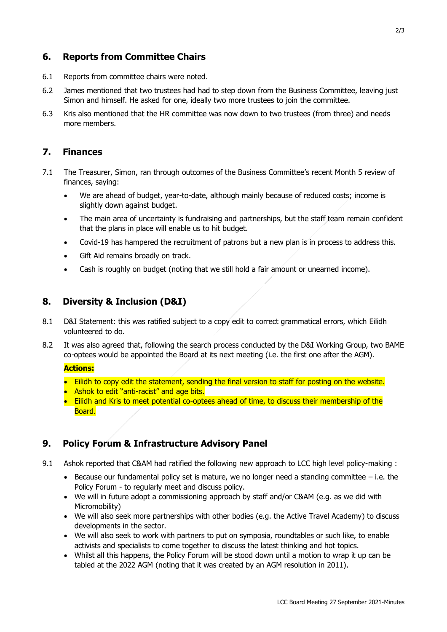#### **6. Reports from Committee Chairs**

- 6.1 Reports from committee chairs were noted.
- 6.2 James mentioned that two trustees had had to step down from the Business Committee, leaving just Simon and himself. He asked for one, ideally two more trustees to join the committee.
- 6.3 Kris also mentioned that the HR committee was now down to two trustees (from three) and needs more members.

### **7. Finances**

- 7.1 The Treasurer, Simon, ran through outcomes of the Business Committee's recent Month 5 review of finances, saying:
	- We are ahead of budget, year-to-date, although mainly because of reduced costs; income is slightly down against budget.
	- The main area of uncertainty is fundraising and partnerships, but the staff team remain confident that the plans in place will enable us to hit budget.
	- Covid-19 has hampered the recruitment of patrons but a new plan is in process to address this.
	- Gift Aid remains broadly on track.
	- Cash is roughly on budget (noting that we still hold a fair amount or unearned income).

### **8. Diversity & Inclusion (D&I)**

- 8.1 D&I Statement: this was ratified subject to a copy edit to correct grammatical errors, which Eilidh volunteered to do.
- 8.2 It was also agreed that, following the search process conducted by the D&I Working Group, two BAME co-optees would be appointed the Board at its next meeting (i.e. the first one after the AGM).

#### **Actions:**

- Eilidh to copy edit the statement, sending the final version to staff for posting on the website.
- Ashok to edit "anti-racist" and age bits.
- Eilidh and Kris to meet potential co-optees ahead of time, to discuss their membership of the Board.

#### **9. Policy Forum & Infrastructure Advisory Panel**

- 9.1 Ashok reported that C&AM had ratified the following new approach to LCC high level policy-making :
	- $\bullet$  Because our fundamental policy set is mature, we no longer need a standing committee i.e. the Policy Forum - to regularly meet and discuss policy.
	- We will in future adopt a commissioning approach by staff and/or C&AM (e.g. as we did with Micromobility)
	- We will also seek more partnerships with other bodies (e.g. the Active Travel Academy) to discuss developments in the sector.
	- We will also seek to work with partners to put on symposia, roundtables or such like, to enable activists and specialists to come together to discuss the latest thinking and hot topics.
	- Whilst all this happens, the Policy Forum will be stood down until a motion to wrap it up can be tabled at the 2022 AGM (noting that it was created by an AGM resolution in 2011).